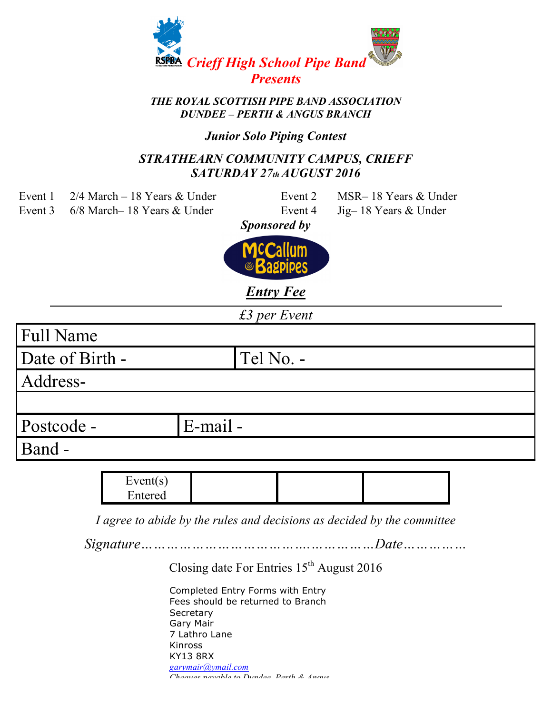

# *DUNDEE – PERTH & ANGUS BRANCH*

### *Junior Solo Piping Contest*

#### *STRATHEARN COMMUNITY CAMPUS, CRIEFF SATURDAY 27th AUGUST 2016*

- Event 1 2/4 March 18 Years & Under Event 2 MSR– 18 Years & Under
- Event 3 6/8 March– 18 Years & Under Event 4 Jig– 18 Years & Under

- -

*Sponsored by*



*Entry Fee*

*£3 per Event*

| <b>Full Name</b> |             |  |
|------------------|-------------|--|
| Date of Birth -  | Tel No. -   |  |
| Address-         |             |  |
|                  |             |  |
| Postcode -       | $E$ -mail - |  |
| <b>Band</b> -    |             |  |
|                  |             |  |

| Event(s) |  |  |
|----------|--|--|
| Entered  |  |  |

*I agree to abide by the rules and decisions as decided by the committee* 

*Signature………………………………….……………Date……………*

Closing date For Entries 15<sup>th</sup> August 2016

Completed Entry Forms with Entry Fees should be returned to Branch **Secretary** Gary Mair 7 Lathro Lane Kinross KY13 8RX *garymair@ymail.com Cheques payable to Dundee, Perth & Angus*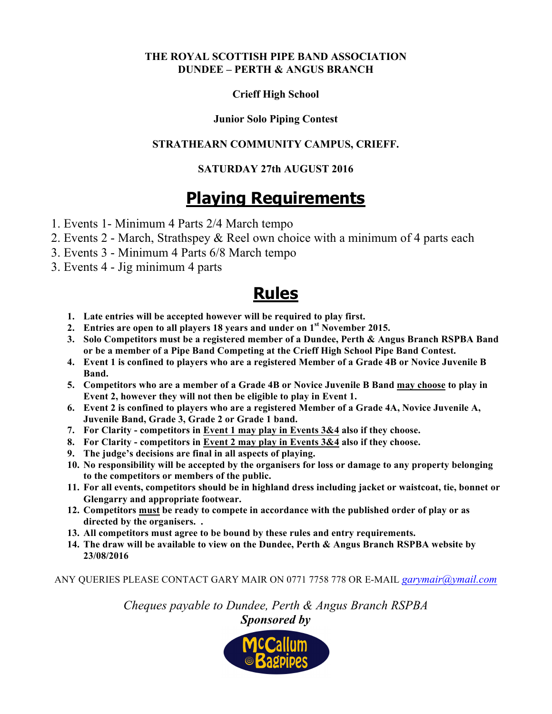#### **THE ROYAL SCOTTISH PIPE BAND ASSOCIATION DUNDEE – PERTH & ANGUS BRANCH**

#### **Crieff High School**

#### **Junior Solo Piping Contest**

#### **STRATHEARN COMMUNITY CAMPUS, CRIEFF.**

#### **SATURDAY 27th AUGUST 2016**

# **Playing Requirements**

- 1. Events 1- Minimum 4 Parts 2/4 March tempo
- 2. Events 2 March, Strathspey & Reel own choice with a minimum of 4 parts each
- 3. Events 3 Minimum 4 Parts 6/8 March tempo
- 3. Events 4 Jig minimum 4 parts

## **Rules**

- **1. Late entries will be accepted however will be required to play first.**
- **2. Entries are open to all players 18 years and under on 1st November 2015.**
- **3. Solo Competitors must be a registered member of a Dundee, Perth & Angus Branch RSPBA Band or be a member of a Pipe Band Competing at the Crieff High School Pipe Band Contest.**
- **4. Event 1 is confined to players who are a registered Member of a Grade 4B or Novice Juvenile B Band.**
- **5. Competitors who are a member of a Grade 4B or Novice Juvenile B Band may choose to play in Event 2, however they will not then be eligible to play in Event 1.**
- **6. Event 2 is confined to players who are a registered Member of a Grade 4A, Novice Juvenile A, Juvenile Band, Grade 3, Grade 2 or Grade 1 band.**
- **7. For Clarity - competitors in Event 1 may play in Events 3&4 also if they choose.**
- **8. For Clarity - competitors in Event 2 may play in Events 3&4 also if they choose.**
- **9. The judge's decisions are final in all aspects of playing.**
- **10. No responsibility will be accepted by the organisers for loss or damage to any property belonging to the competitors or members of the public.**
- **11. For all events, competitors should be in highland dress including jacket or waistcoat, tie, bonnet or Glengarry and appropriate footwear.**
- **12. Competitors must be ready to compete in accordance with the published order of play or as directed by the organisers. .**
- **13. All competitors must agree to be bound by these rules and entry requirements.**
- **14. The draw will be available to view on the Dundee, Perth & Angus Branch RSPBA website by 23/08/2016**

ANY QUERIES PLEASE CONTACT GARY MAIR ON 0771 7758 778 OR E-MAIL *garymair@ymail.com*

*Cheques payable to Dundee, Perth & Angus Branch RSPBA Sponsored by*

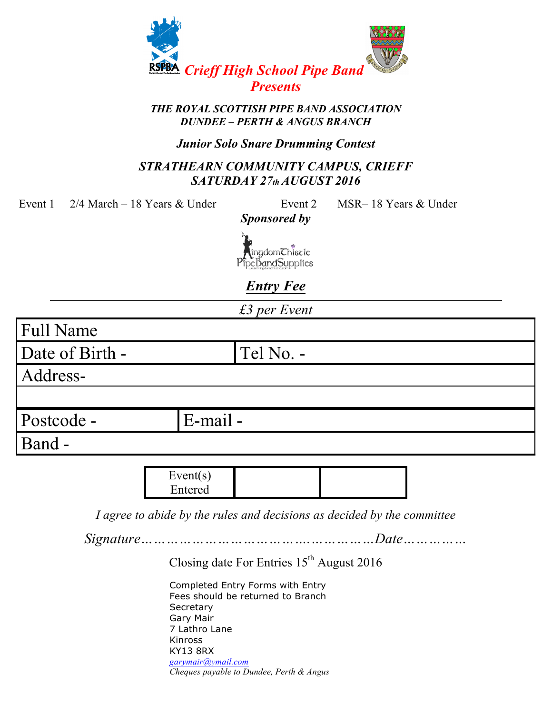

# *DUNDEE – PERTH & ANGUS BRANCH*

#### *Junior Solo Snare Drumming Contest*

#### *STRATHEARN COMMUNITY CAMPUS, CRIEFF SATURDAY 27th AUGUST 2016*

Event 1 2/4 March – 18 Years & Under Event 2 MSR– 18 Years & Under

*Sponsored by* 



*Entry Fee*

*£3 per Event*

Full Name

Date of Birth - Tel No. -

Address-

Postcode - E-mail -

Band -

 $Event(s)$ Entered

*I agree to abide by the rules and decisions as decided by the committee* 

*Signature………………………………….……………Date……………*

Closing date For Entries 15<sup>th</sup> August 2016

Completed Entry Forms with Entry Fees should be returned to Branch **Secretary** Gary Mair 7 Lathro Lane Kinross KY13 8RX *garymair@ymail.com Cheques payable to Dundee, Perth & Angus*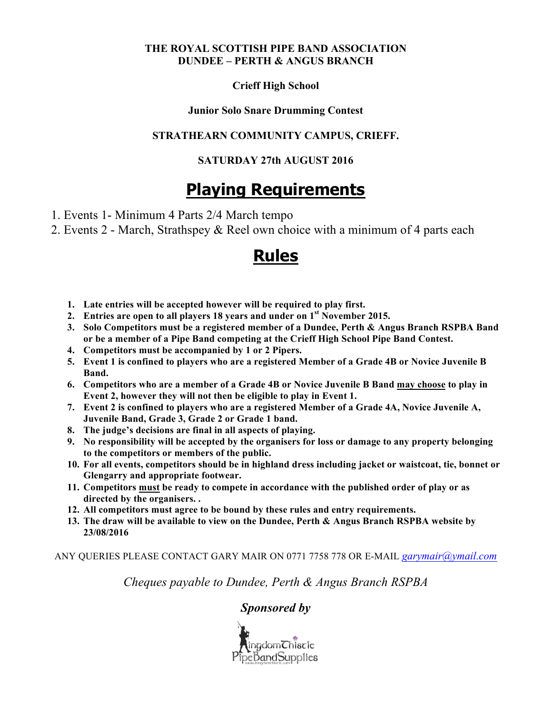#### **THE ROYAL SCOTTISH PIPE BAND ASSOCIATION DUNDEE – PERTH & ANGUS BRANCH**

#### **Crieff High School**

#### **Junior Solo Snare Drumming Contest**

#### **STRATHEARN COMMUNITY CAMPUS, CRIEFF.**

#### **SATURDAY 27th AUGUST 2016**

# **Playing Requirements**

- 1. Events 1- Minimum 4 Parts 2/4 March tempo
- 2. Events 2 March, Strathspey & Reel own choice with a minimum of 4 parts each

## **Rules**

- **1. Late entries will be accepted however will be required to play first.**
- **2. Entries are open to all players 18 years and under on 1st November 2015.**
- **3. Solo Competitors must be a registered member of a Dundee, Perth & Angus Branch RSPBA Band or be a member of a Pipe Band competing at the Crieff High School Pipe Band Contest.**
- **4. Competitors must be accompanied by 1 or 2 Pipers.**
- **5. Event 1 is confined to players who are a registered Member of a Grade 4B or Novice Juvenile B Band.**
- **6. Competitors who are a member of a Grade 4B or Novice Juvenile B Band may choose to play in Event 2, however they will not then be eligible to play in Event 1.**
- **7. Event 2 is confined to players who are a registered Member of a Grade 4A, Novice Juvenile A, Juvenile Band, Grade 3, Grade 2 or Grade 1 band.**
- **8. The judge's decisions are final in all aspects of playing.**
- **9. No responsibility will be accepted by the organisers for loss or damage to any property belonging to the competitors or members of the public.**
- **10. For all events, competitors should be in highland dress including jacket or waistcoat, tie, bonnet or Glengarry and appropriate footwear.**
- **11. Competitors must be ready to compete in accordance with the published order of play or as directed by the organisers. .**
- **12. All competitors must agree to be bound by these rules and entry requirements.**
- **13. The draw will be available to view on the Dundee, Perth & Angus Branch RSPBA website by 23/08/2016**

ANY QUERIES PLEASE CONTACT GARY MAIR ON 0771 7758 778 OR E-MAIL *garymair@ymail.com*

*Cheques payable to Dundee, Perth & Angus Branch RSPBA*

#### *Sponsored by*

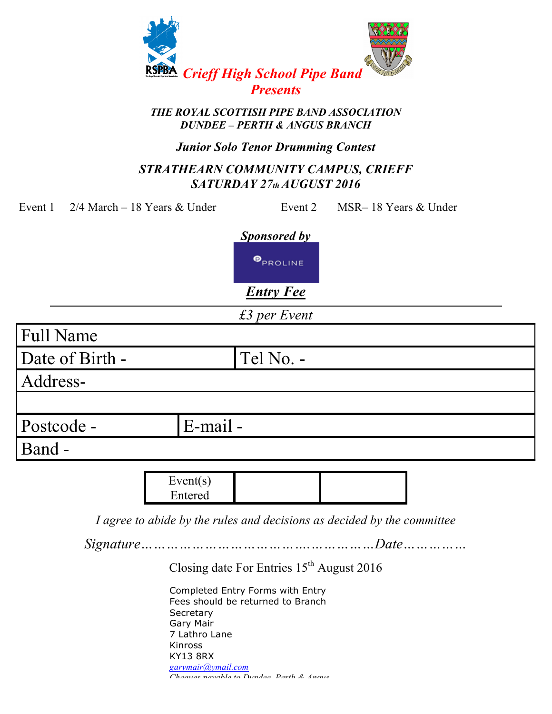

# *DUNDEE – PERTH & ANGUS BRANCH*

#### *Junior Solo Tenor Drumming Contest*

#### *STRATHEARN COMMUNITY CAMPUS, CRIEFF SATURDAY 27th AUGUST 2016*

Event 1 2/4 March – 18 Years & Under Event 2 MSR– 18 Years & Under

*Sponsored by* 

**O**PROLINE

*Entry Fee*

*£3 per Event*

| <b>Full Name</b> |             |  |
|------------------|-------------|--|
| Date of Birth -  | Tel No. -   |  |
| Address-         |             |  |
|                  |             |  |
| Postcode -       | $E$ -mail - |  |
| <b>Band</b> -    |             |  |

Event(s) Entered

*I agree to abide by the rules and decisions as decided by the committee* 

*Signature………………………………….……………Date……………*

Closing date For Entries 15<sup>th</sup> August 2016

Completed Entry Forms with Entry Fees should be returned to Branch **Secretary** Gary Mair 7 Lathro Lane Kinross KY13 8RX *garymair@ymail.com Cheques payable to Dundee, Perth & Angus*